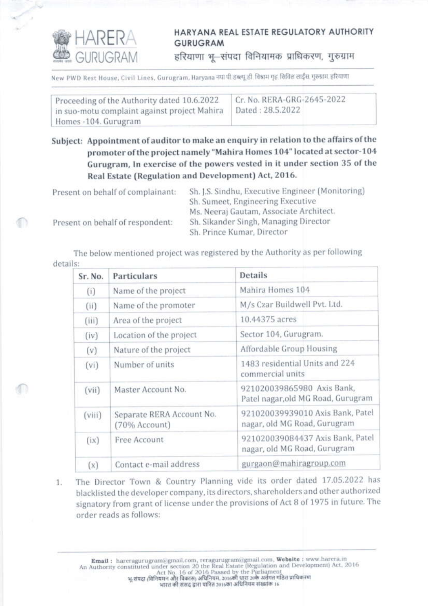

Œ

## HARYANA REAL ESTATE REGULATORY AUTHORITY **GURUGRAM**

हरियाणा भू-संपदा विनियामक प्राधिकरण, गुरुग्राम

New PWD Rest House, Civil Lines, Gurugram, Haryana नया पी.डब्ल्यू डी. विश्राम गृह. सिविल लाईंस गरुग्राम, हरियाणा

Proceeding of the Authority dated 10.6.2022 in suo-motu complaint against project Mahira Homes -104. Gurugram

Cr. No. RERA-GRG-2645-2022 Dated: 28.5.2022

Subject: Appointment of auditor to make an enquiry in relation to the affairs of the promoter of the project namely "Mahira Homes 104" located at sector-104 Gurugram, In exercise of the powers vested in it under section 35 of the Real Estate (Regulation and Development) Act, 2016.

Sh. J.S. Sindhu, Executive Engineer (Monitoring) Present on behalf of complainant: Sh. Sumeet, Engineering Executive Ms. Neeraj Gautam, Associate Architect. Sh. Sikander Singh, Managing Director Present on behalf of respondent: Sh. Prince Kumar, Director

The below mentioned project was registered by the Authority as per following details:

| Sr. No. | Particulars                                | Details                                                          |
|---------|--------------------------------------------|------------------------------------------------------------------|
| (i)     | Name of the project                        | Mahira Homes 104                                                 |
| (ii)    | Name of the promoter                       | M/s Czar Buildwell Pvt. Ltd.                                     |
| (iii)   | Area of the project                        | 10.44375 acres                                                   |
| (iv)    | Location of the project                    | Sector 104, Gurugram.                                            |
| (v)     | Nature of the project                      | Affordable Group Housing                                         |
| (vi)    | Number of units                            | 1483 residential Units and 224<br>commercial units               |
| (vii)   | Master Account No.                         | 921020039865980 Axis Bank,<br>Patel nagar, old MG Road, Gurugram |
| (viii)  | Separate RERA Account No.<br>(70% Account) | 921020039939010 Axis Bank, Patel<br>nagar, old MG Road, Gurugram |
| (ix)    | Free Account                               | 921020039084437 Axis Bank, Patel<br>nagar, old MG Road, Gurugram |
| (x)     | Contact e-mail address                     | gurgaon@mahiragroup.com                                          |

The Director Town & Country Planning vide its order dated 17.05.2022 has  $1.$ blacklisted the developer company, its directors, shareholders and other authorized signatory from grant of license under the provisions of Act 8 of 1975 in future. The order reads as follows:

 $\begin{tabular}{p{.}p{.} \textbf{Email:} \textbf{h} \textbf{areragurugram} @ \textbf{gmanl.com,} \textbf{reragurugram} @ \textbf{gmanl.com,} \textbf{Website:} \textbf{www.harera.in} \\ \textbf{An Authority constituted under section 20 the Real Estate (Regularian and Development) Act, 2016 \\ \textbf{Act No, 16 of 2016 Passed by the Parliament} \\ \textbf{a} \textbf{q} \textbf{a} \textbf{r} \textbf{q} \textbf{q} \textbf{q} \textbf{q} \textbf{r} \textbf{q} \textbf{r} \textbf{q} \textbf{$ भारत की संसद द्वारा पारित 2016का अधिनियम संख्यांक 16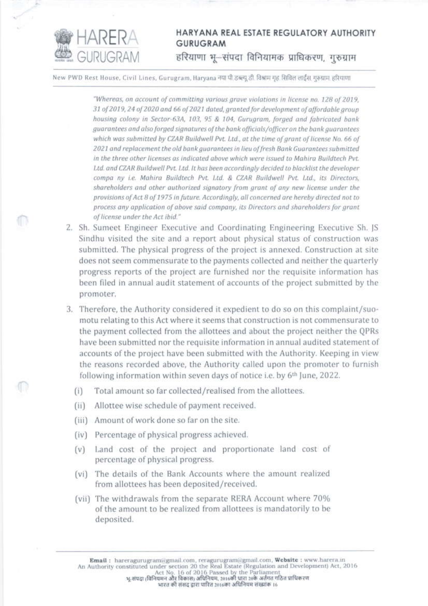

## HARYANA REAL ESTATE REGULATORY AUTHORITY **GURUGRAM** हरियाणा भू-संपदा विनियामक प्राधिकरण, गुरुग्राम

New PWD Rest House, Civil Lines, Gurugram, Haryana नया पी डब्ल्यू डी. विश्वाम गृह, सिविल लाईंस गुरुग्राम हरियाणा

"Whereas, on account of committing various grave violations in license no. 128 of 2019, 31 of 2019, 24 of 2020 and 66 of 2021 dated, granted for development of affordable group housing colony in Sector-63A, 103, 95 & 104, Gurugram, forged and fabricated bank guarantees and also forged signatures of the bank officials/officer on the bank guarantees which was submitted by CZAR Buildwell Pvt. Ltd., at the time of grant of license No. 66 of 2021 and replacement the old bank guarantees in lieu of fresh Bank Guarantees submitted in the three other licenses as indicated above which were issued to Mahira Buildtech Pvt. Ltd. and CZAR Buildwell Pvt. Ltd. It has been accordinaly decided to blacklist the developer compa ny i.e. Mahira Buildtech Pvt. Ltd. & CZAR Buildwell Pvt. Ltd., its Directors, shareholders and other authorized signatory from grant of any new license under the provisions of Act 8 of 1975 in future. Accordingly, all concerned are hereby directed not to process any application of above said company, its Directors and shareholders for grant of license under the Act ibid."

- 2. Sh. Sumeet Engineer Executive and Coordinating Engineering Executive Sh. JS Sindhu visited the site and a report about physical status of construction was submitted. The physical progress of the project is annexed. Construction at site does not seem commensurate to the payments collected and neither the quarterly progress reports of the project are furnished nor the requisite information has been filed in annual audit statement of accounts of the project submitted by the promoter.
- 3. Therefore, the Authority considered it expedient to do so on this complaint/suomotu relating to this Act where it seems that construction is not commensurate to the payment collected from the allottees and about the project neither the QPRs have been submitted nor the requisite information in annual audited statement of accounts of the project have been submitted with the Authority. Keeping in view the reasons recorded above, the Authority called upon the promoter to furnish following information within seven days of notice i.e. by 6<sup>th</sup> June, 2022.
	- Total amount so far collected/realised from the allottees.  $(i)$
	- $(i)$ Allottee wise schedule of payment received.
	- (iii) Amount of work done so far on the site.
	- (iv) Percentage of physical progress achieved.
	- Land cost of the project and proportionate land cost of  $(v)$ percentage of physical progress.
	- (vi) The details of the Bank Accounts where the amount realized from allottees has been deposited/received.
	- (vii) The withdrawals from the separate RERA Account where 70% of the amount to be realized from allottees is mandatorily to be deposited.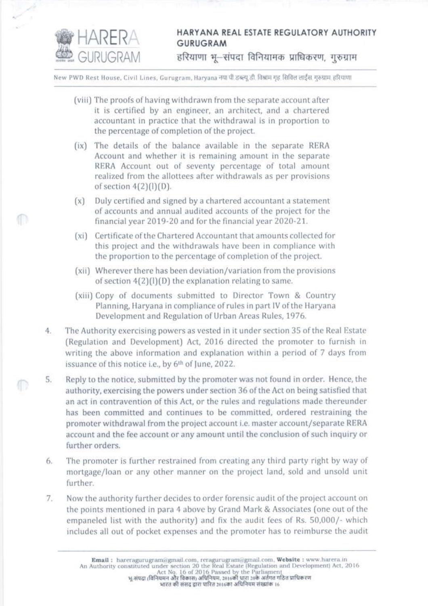

ſD

## HARYANA REAL ESTATE REGULATORY AUTHORITY **GURUGRAM**

हरियाणा भू-संपदा विनियामक प्राधिकरण, गुरुग्राम

New PWD Rest House, Civil Lines, Gurugram, Haryana नया पी.डब्ल्यू.डी. विश्राम गृह सिविल लाईंस गरुग्राम हरियाणा

- (viii) The proofs of having withdrawn from the separate account after it is certified by an engineer, an architect, and a chartered accountant in practice that the withdrawal is in proportion to the percentage of completion of the project.
- (ix) The details of the balance available in the separate RERA Account and whether it is remaining amount in the separate RERA Account out of seventy percentage of total amount realized from the allottees after withdrawals as per provisions of section  $4(2)(1)(D)$ .
- $(x)$ Duly certified and signed by a chartered accountant a statement of accounts and annual audited accounts of the project for the financial year 2019-20 and for the financial year 2020-21.
- (xi) Certificate of the Chartered Accountant that amounts collected for this project and the withdrawals have been in compliance with the proportion to the percentage of completion of the project.
- (xii) Wherever there has been deviation/variation from the provisions of section  $4(2)(1)(D)$  the explanation relating to same.
- (xiii) Copy of documents submitted to Director Town & Country Planning, Haryana in compliance of rules in part IV of the Haryana Development and Regulation of Urban Areas Rules, 1976.
- The Authority exercising powers as vested in it under section 35 of the Real Estate 4. (Regulation and Development) Act, 2016 directed the promoter to furnish in writing the above information and explanation within a period of 7 days from issuance of this notice i.e., by 6th of June, 2022.
- Reply to the notice, submitted by the promoter was not found in order. Hence, the  $5.$ authority, exercising the powers under section 36 of the Act on being satisfied that an act in contravention of this Act, or the rules and regulations made thereunder has been committed and continues to be committed, ordered restraining the promoter withdrawal from the project account i.e. master account/separate RERA account and the fee account or any amount until the conclusion of such inquiry or further orders.
- The promoter is further restrained from creating any third party right by way of 6. mortgage/loan or any other manner on the project land, sold and unsold unit further.
- Now the authority further decides to order forensic audit of the project account on 7. the points mentioned in para 4 above by Grand Mark & Associates (one out of the empaneled list with the authority) and fix the audit fees of Rs. 50,000/- which includes all out of pocket expenses and the promoter has to reimburse the audit